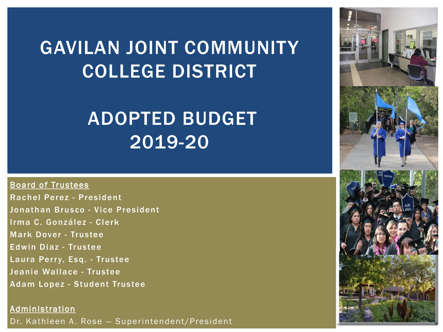## GAVILAN JOINT COMMUNITY COLLEGE DISTRICT

# ADOPTED BUDGET 2019-20

#### Board of Trustees

Rachel Perez - President Jonathan Brusco - Vice President Irma C. González - Clerk Mark Dover - Trustee Edwin Diaz - Trustee Laura Perry, Esq. - Trustee Jeanie Wallace - Trustee Adam Lopez - Student Trustee

Administration

Dr. Kathleen A. Rose — Superintendent/President

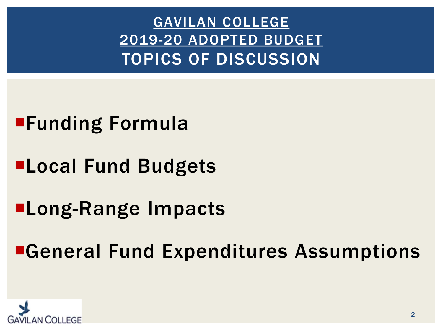GAVILAN COLLEGE 2019-20 ADOPTED BUDGET TOPICS OF DISCUSSION

# Funding Formula

**ELocal Fund Budgets** 

## **Long-Range Impacts**

General Fund Expenditures Assumptions

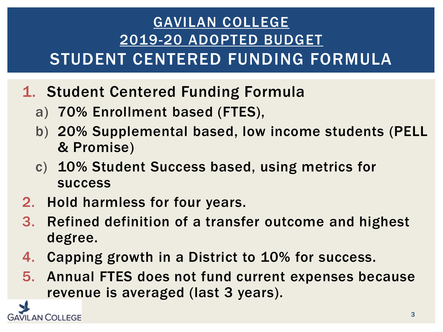- 1. Student Centered Funding Formula
	- a) 70% Enrollment based (FTES),
	- b) 20% Supplemental based, low income students (PELL & Promise)
	- c) 10% Student Success based, using metrics for success
- 2. Hold harmless for four years.

**LAN COLLEGE** 

- 3. Refined definition of a transfer outcome and highest degree.
- 4. Capping growth in a District to 10% for success.
- 5. Annual FTES does not fund current expenses because revenue is averaged (last 3 years).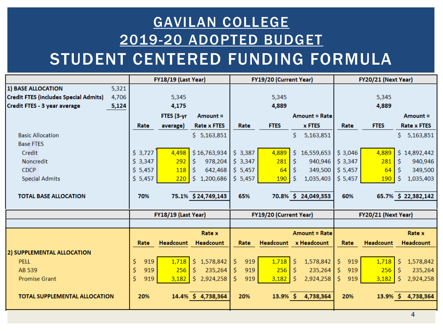|                                       |       | FY18/19 (Last Year) |                     |                    |            | FY19/20 (Current Year) |                      | FY20/21 (Next Year) |                     |                     |  |  |
|---------------------------------------|-------|---------------------|---------------------|--------------------|------------|------------------------|----------------------|---------------------|---------------------|---------------------|--|--|
| 1) BASE ALLOCATION                    | 5,321 |                     |                     |                    |            |                        |                      |                     |                     |                     |  |  |
| Credit FTES (includes Special Admits) | 4,706 |                     | 5,345               |                    |            | 5,345                  |                      |                     | 5,345               |                     |  |  |
| Credit FTES - 3 year average          | 5,124 |                     | 4,175               |                    |            | 4,889                  |                      |                     | 4,889               |                     |  |  |
|                                       |       |                     | FTES (3-yr          | $Amount =$         |            |                        | <b>Amount = Rate</b> |                     |                     | $Amount =$          |  |  |
|                                       |       | Rate                | average)            | <b>Rate x FTES</b> | Rate       | <b>FTES</b>            | x FTES               | Rate                | <b>FTES</b>         | <b>Rate x FTES</b>  |  |  |
| <b>Basic Allocation</b>               |       |                     |                     | \$5,163,851        |            |                        | \$<br>5,163,851      |                     |                     | \$.<br>5,163,851    |  |  |
| <b>Base FTES</b>                      |       |                     |                     |                    |            |                        |                      |                     |                     |                     |  |  |
| Credit                                |       | \$3,727             | 4,498               | \$16,763,934       | \$3,387    | 4,889                  | \$16,559,653         | \$3,046             | 4,889               | \$14,892,442        |  |  |
| <b>Noncredit</b>                      |       | \$3,347             | 292                 | \$<br>978,204      | \$3,347    | 281                    | \$<br>940,946        | \$3,347             | 281                 | \$.<br>940,946      |  |  |
| <b>CDCP</b>                           |       | \$5,457             | 118                 | 642,468<br>\$      | \$5,457    | 64                     | -Ŝ<br>349,500        | \$5,457             | 64                  | 349,500<br>-S       |  |  |
| <b>Special Admits</b>                 |       | \$5,457             | 220                 | \$1,200,686        | \$5,457    | 190                    | -Ŝ<br>1,035,403      | \$5,457             | 190                 | Ŝ.<br>1,035,403     |  |  |
|                                       |       |                     |                     |                    |            |                        |                      |                     |                     |                     |  |  |
| <b>TOTAL BASE ALLOCATION</b>          |       | 70%                 |                     | 75.1% \$24,749,143 | 65%        |                        | 70.8% \$ 24,049,353  | 60%                 |                     | 65.7% \$ 22,382,142 |  |  |
|                                       |       |                     |                     |                    |            |                        |                      |                     |                     |                     |  |  |
|                                       |       |                     | FY18/19 (Last Year) |                    |            | FY19/20 (Current Year) |                      |                     | FY20/21 (Next Year) |                     |  |  |
|                                       |       |                     |                     |                    |            |                        |                      |                     |                     |                     |  |  |
|                                       |       |                     |                     | Rate x             |            |                        | <b>Amount = Rate</b> |                     |                     | Rate x              |  |  |
|                                       |       | Rate                | <b>Headcount</b>    | Headcount          | Rate       | <b>Headcount</b>       | x Headcount          | Rate                | Headcount           | <b>Headcount</b>    |  |  |
| 2) SUPPLEMENTAL ALLOCATION            |       |                     |                     |                    |            |                        |                      |                     |                     |                     |  |  |
| <b>PELL</b>                           |       | \$<br>919           | 1,718               | \$1,578,842        | \$<br>919  | 1,718                  | \$<br>1,578,842      | \$<br>919           | 1,718               | \$<br>1,578,842     |  |  |
| AB 539                                |       | \$<br>919           | 256                 | \$<br>235,264      | \$.<br>919 | 256                    | \$<br>235,264        | \$.<br>919          | 256                 | Ŝ.<br>235,264       |  |  |
| <b>Promise Grant</b>                  |       | \$<br>919           | 3,182               | 2,924,258<br>S.    | 919<br>S.  | 3,182                  | 2,924,258<br>-S      | 919<br>S.           | 3,182               | 2,924,258<br>S.     |  |  |
|                                       |       |                     |                     |                    |            |                        |                      |                     |                     |                     |  |  |
| <b>TOTAL SUPPLEMENTAL ALLOCATION</b>  |       | 20%                 |                     | 14.4% \$4,738,364  | 20%        | $13.9\%$ \$            | 4,738,364            | 20%                 |                     | 13.9% \$ 4,738,364  |  |  |
|                                       |       |                     |                     |                    |            |                        |                      |                     |                     |                     |  |  |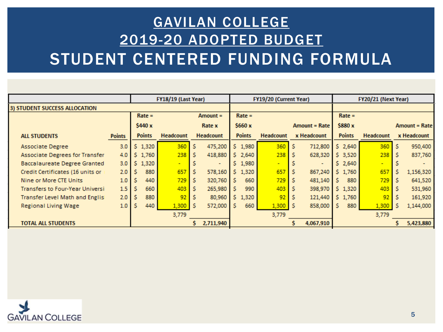|                                      |               | FY18/19 (Last Year) |                  |    |                  |    |               | FY19/20 (Current Year) |    |                 |    | FY20/21 (Next Year) |                  |    |                      |
|--------------------------------------|---------------|---------------------|------------------|----|------------------|----|---------------|------------------------|----|-----------------|----|---------------------|------------------|----|----------------------|
| <b>3) STUDENT SUCCESS ALLOCATION</b> |               |                     |                  |    |                  |    |               |                        |    |                 |    |                     |                  |    |                      |
|                                      |               | $Rate =$            |                  |    | $Amount =$       |    | $Rate =$      |                        |    |                 |    | $Rate =$            |                  |    |                      |
|                                      |               | \$440 x             |                  |    | Rate x           |    | \$660 x       |                        |    | $Amount = Rate$ |    | \$880 x             |                  |    | <b>Amount = Rate</b> |
| <b>ALL STUDENTS</b>                  | <b>Points</b> | <b>Points</b>       | <b>Headcount</b> |    | <b>Headcount</b> |    | <b>Points</b> | <b>Headcount</b>       |    | x Headcount     |    | <b>Points</b>       | <b>Headcount</b> |    | x Headcount          |
| Associate Degree                     | 3.0           | \$1,320             | 360              | s  | 475,200          |    | \$1,980       | 360                    | Ś. | 712,800         |    | \$2,640             | 360              | S  | 950,400              |
| Associate Degrees for Transfer       | 4.0           | \$1,760             | 238              | S. | 418,880          |    | \$2,640       | 238                    | Ŝ. | 628,320         |    | \$3,520             | 238              | -S | 837,760              |
| <b>Baccalaureate Degree Granted</b>  | 3.0           | 1,320<br>S.         | $\sim$           |    | ۰                |    | \$1,980       | $\blacksquare$         |    |                 |    | \$2,640             | $\sim$           |    |                      |
| Credit Certificates (16 units or     | 2.0           | 880                 | 657              | S. | 578,160          |    | \$1,320       | 657                    | Ś. | 867,240         |    | \$1,760             | 657              | s  | 1,156,320            |
| Nine or More CTE Units               | 1.0           | 440                 | 729              | s. | 320,760          | s. | 660           | 729                    | s  | 481,140         | S. | 880                 | 729              | -S | 641,520              |
| Transfers to Four-Year Universi      | 1.5           | 660                 | 403              | s  | 265,980          | s. | 990           | 403                    | Ś. | 398,970         |    | \$1,320             | 403              | -S | 531,960              |
| Transfer Level Math and Englis       | 2.0           | 880                 | 92               | S. | 80,960           |    | \$1,320       | 92                     | s  | 121,440         |    | \$1,760             | 92               | -S | 161,920              |
| <b>Regional Living Wage</b>          | 1.0           | 440<br>s            | 1,300            | .s | 572,000          | s. | 660           | 1,300                  | s  | 858,000         | s. | 880                 | 1,300            | s  | 1,144,000            |
|                                      |               |                     | 3,779            |    |                  |    |               | 3,779                  |    |                 |    |                     | 3,779            |    |                      |
| <b>TOTAL ALL STUDENTS</b>            |               |                     |                  | s. | 2,711,940        |    |               |                        | S. | 4,067,910       |    |                     |                  | s  | 5,423,880            |

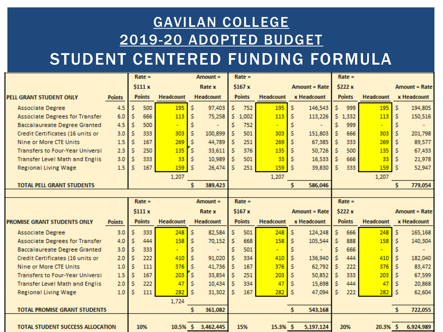|                                        |               |   | $Rate =$      |                  |    | $Amount =$       |    | $Rate =$      |                  |    |                      |    | $Rate =$      |                  |     |                      |
|----------------------------------------|---------------|---|---------------|------------------|----|------------------|----|---------------|------------------|----|----------------------|----|---------------|------------------|-----|----------------------|
|                                        |               |   | \$111x        |                  |    | Rate x           |    | \$167 x       |                  |    | <b>Amount = Rate</b> |    | \$222 x       |                  |     | <b>Amount = Rate</b> |
| PELL GRANT STUDENT ONLY                | <b>Points</b> |   | <b>Points</b> | <b>Headcount</b> |    | <b>Headcount</b> |    | <b>Points</b> | <b>Headcount</b> |    | x Headcount          |    | <b>Points</b> | <b>Headcount</b> |     | x Headcount          |
| <b>Associate Degree</b>                | 4.5           | Ś | 500           | 195              | Ś. | 97,403           | Ś. | 752           | 195              | Ś  | 146,543              | Ś. | 999           | 195              | .s  | 194,805              |
| <b>Associate Degrees for Transfer</b>  | 6.0           | s | 666           | 113              | s  | 75,258           |    | \$1,002       | 113              | -S | 113,226              |    | \$1,332       | 113              | -S  | 150,516              |
| <b>Baccalaureate Degree Granted</b>    | 4.5           |   | 500           |                  | s  |                  | Ś. | 752           |                  | s  |                      | s  | 999           |                  | Š.  |                      |
| Credit Certificates (16 units or       | 3.0           |   | 333           | 303              | Ś. | 100,899          | Ś. | 501           | 303              | Ś  | 151,803              | Ś. | 666           | 303              | .s  | 201,798              |
| Nine or More CTE Units                 | 1.5           |   | 167           | 269              | s  | 44,789           | s  | 251           | 269              | Š. | 67,385               | s  | 333           | 269              | -S  | 89,577               |
| <b>Transfers to Four-Year Universi</b> | 2.3           |   | 250           | 135              | \$ | 33,611           | Ś. | 376           | 135              | s  | 50,726               | Š. | 500           | 135              | -S  | 67,433               |
| <b>Transfer Level Math and Englis</b>  | 3.0           |   | 333           | 33               | s. | 10,989           | s  | 501           | 33               | s  | 16,533               | s. | 666           | 33               | -S  | 21,978               |
| <b>Regional Living Wage</b>            | 1.5           |   | 167           | 159              | s  | 26,474           | Ś. | 251           | 159              | .S | 39,830               | Ś. | 333           | 159              | .S  | 52,947               |
|                                        |               |   |               | 1,207            |    |                  |    |               | 1,207            |    |                      |    |               | 1,207            |     |                      |
| <b>TOTAL PELL GRANT STUDENTS</b>       |               |   |               |                  | Ŝ. | 389,423          |    |               |                  | Ŝ. | 586,046              |    |               |                  | Ŝ.  | 779,054              |
|                                        |               |   |               |                  |    |                  |    |               |                  |    |                      |    |               |                  |     |                      |
|                                        |               |   | $Rate =$      |                  |    | $Amount =$       |    | $Rate =$      |                  |    |                      |    | $Rate =$      |                  |     |                      |
|                                        |               |   | \$111x        |                  |    | Rate x           |    | \$167 x       |                  |    | <b>Amount = Rate</b> |    | \$222 x       |                  |     | <b>Amount = Rate</b> |
| PROMISE GRANT STUDENTS ONLY            |               |   |               |                  |    |                  |    |               |                  |    |                      |    |               |                  |     | x Headcount          |
|                                        | <b>Points</b> |   | <b>Points</b> | Headcount        |    | <b>Headcount</b> |    | <b>Points</b> | <b>Headcount</b> |    | x Headcount          |    | <b>Points</b> | Headcount        |     |                      |
| <b>Associate Degree</b>                | 3.0           |   | 333           | 248              | Ś. | 82,584           | Ś. | 501           | 248              | Ś  | 124,248              | Ś. | 666           | 248              | Š.  | 165,168              |
| <b>Associate Degrees for Transfer</b>  | 4.0           |   | 444           | 158              | s  | 70,152           | s. | 668           | 158              | -S | 105,544              | Ś. | 888           | 158              | -S  | 140,304              |
| <b>Baccalaureate Degree Granted</b>    | 3.0           |   | 333           |                  | Ś  |                  |    | 501           |                  | s  |                      |    | 666           |                  | s   |                      |
| Credit Certificates (16 units or       | 2.0           |   | 222           | 410              | Ś. | 91,020           | Ś. | 334           | 410              | s  | 136,940              | Ś  | 444           | 410              | .s  | 182,040              |
| Nine or More CTE Units                 | 1.0           |   | 111           | 376              | s  | 41,736           | s. | 167           | 376              | .s | 62,792               | s  | 222           | 376              | l s | 83,472               |
| <b>Transfers to Four-Year Universi</b> | 1.5           |   | 167           | 203              | \$ | 33,854           | s  | 251           | 203              | s  | 50,852               | s. | 333           | 203              | l s | 67,599               |
| <b>Transfer Level Math and Englis</b>  | 2.0           |   | 222           | 47               | Ś. | 10,434           | s  | 334           | 47               | -S | 15,698               | s. | 444           | 47               | -S  | 20,868               |
| <b>Regional Living Wage</b>            | 1.0           |   | 111           | 282              | s  | 31,302           | s  | 167           | 282              | .S | 47,094               | Ś. | 222           | 282              |     | 62,604               |
|                                        |               |   |               | 1,724            |    |                  |    |               |                  |    |                      |    |               |                  |     |                      |
| <b>TOTAL PROMISE GRANT STUDENTS</b>    |               |   |               |                  | Ŝ. | 361,082          |    |               |                  | Ŝ. | 543,168              |    |               |                  | Ŝ.  | 722,055              |
|                                        |               |   |               |                  |    |                  |    |               |                  |    |                      |    |               |                  |     |                      |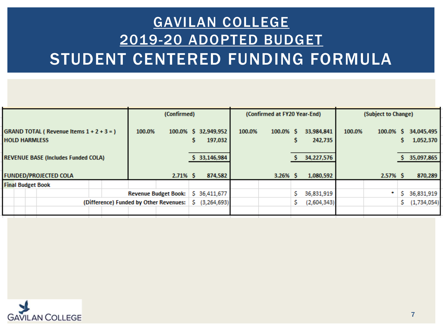|                                                                    | (Confirmed)                            |                                      | (Confirmed at FY20 Year-End) |                       | (Subject to Change) |                                     |  |  |
|--------------------------------------------------------------------|----------------------------------------|--------------------------------------|------------------------------|-----------------------|---------------------|-------------------------------------|--|--|
| GRAND TOTAL (Revenue Items $1 + 2 + 3 =$ )<br><b>HOLD HARMLESS</b> | 100.0%                                 | 100.0% \$ 32,949,952<br>197,032<br>s | 100.0%<br>100.0% \$<br>s     | 33,984,841<br>242,735 | 100.0%<br>100.0%    | 34,045,495<br>S.<br>1,052,370<br>s. |  |  |
| <b>REVENUE BASE (Includes Funded COLA)</b>                         |                                        | \$ 33,146,984                        |                              | 34,227,576            |                     | 35,097,865                          |  |  |
| <b>FUNDED/PROJECTED COLA</b>                                       | $2.71\%$ \$                            | 874,582                              | $3.26%$ \$                   | 1,080,592             | 2.57% S             | 870,289                             |  |  |
| <b>Final Budget Book</b>                                           |                                        |                                      |                              |                       |                     |                                     |  |  |
|                                                                    | <b>Revenue Budget Book:</b>            | \$ 36,411,677                        |                              | 36,831,919            |                     | 36,831,919<br>s                     |  |  |
|                                                                    | (Difference) Funded by Other Revenues: | \$ (3,264,693)                       | S.                           | (2,604,343)           |                     | (1,734,054)<br>S.                   |  |  |
|                                                                    |                                        |                                      |                              |                       |                     |                                     |  |  |

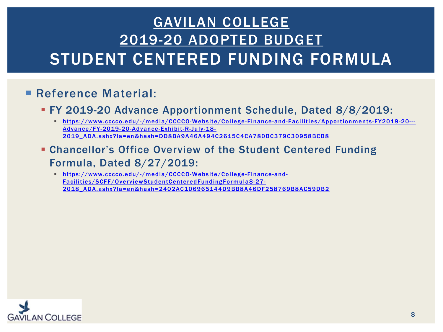#### **Reference Material:**

- FY 2019-20 Advance Apportionment Schedule, Dated 8/8/2019:
	- [https://www.cccco.edu/-/media/CCCCO-Website/College-Finance-and-Facilities/Apportionments-FY2019-20---](https://www.cccco.edu/-/media/CCCCO-Website/College-Finance-and-Facilities/Apportionments-FY2019-20---Advance/FY-2019-20-Advance-Exhibit-R-July-18-2019_ADA.ashx?la=en&hash=DD8BA9A46A494C2615C4CA780BC379C30958BCB8) Advance/FY-2019-20-Advance-Exhibit-R-July-18- 2019\_ADA.ashx?la=en&hash=DD8BA9A46A494C2615C4CA780BC379C30958BCB8
- Chancellor's Office Overview of the Student Centered Funding Formula, Dated 8/27/2019:
	- https://www.cccco.edu/-/media/CCCCO-Website/College-Finance-and-Facilities/SCFF/OverviewStudentCenteredFundingFormula8-27- [2018\\_ADA.ashx?la=en&hash=2402AC106965144D9BB8A46DF258769B8AC59DB2](https://www.cccco.edu/-/media/CCCCO-Website/College-Finance-and-Facilities/SCFF/OverviewStudentCenteredFundingFormula8-27-2018_ADA.ashx?la=en&hash=2402AC106965144D9BB8A46DF258769B8AC59DB2)

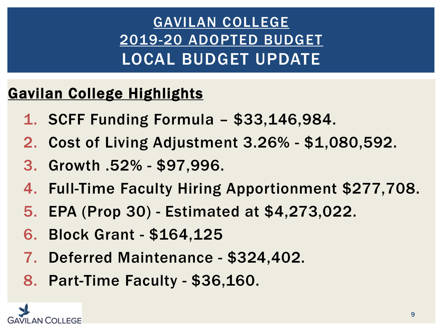#### GAVILAN COLLEGE 2019-20 ADOPTED BUDGET LOCAL BUDGET UPDATE

#### Gavilan College Highlights

- 1. SCFF Funding Formula \$33,146,984.
- 2. Cost of Living Adjustment 3.26% \$1,080,592.
- 3. Growth .52% \$97,996.
- 4. Full-Time Faculty Hiring Apportionment \$277,708.
- 5. EPA (Prop 30) Estimated at \$4,273,022.
- 6. Block Grant \$164,125
- 7. Deferred Maintenance \$324,402.
- 8. Part-Time Faculty \$36,160.

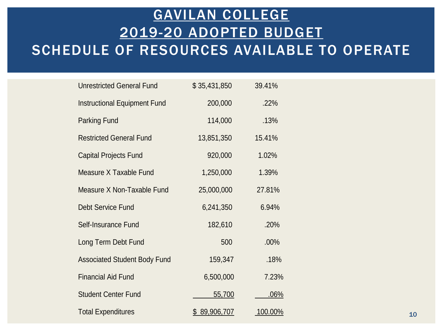#### GAVILAN COLLEGE 2019-20 ADOPTED BUDGET SCHEDULE OF RESOURCES AVAILABLE TO OPERATE

| <b>Unrestricted General Fund</b>    | \$35,431,850 | 39.41%  |
|-------------------------------------|--------------|---------|
| <b>Instructional Equipment Fund</b> | 200,000      | .22%    |
| <b>Parking Fund</b>                 | 114,000      | .13%    |
| <b>Restricted General Fund</b>      | 13,851,350   | 15.41%  |
| <b>Capital Projects Fund</b>        | 920,000      | 1.02%   |
| Measure X Taxable Fund              | 1,250,000    | 1.39%   |
| Measure X Non-Taxable Fund          | 25,000,000   | 27.81%  |
| <b>Debt Service Fund</b>            | 6,241,350    | 6.94%   |
| Self-Insurance Fund                 | 182,610      | .20%    |
| Long Term Debt Fund                 | 500          | .00%    |
| <b>Associated Student Body Fund</b> | 159,347      | .18%    |
| <b>Financial Aid Fund</b>           | 6,500,000    | 7.23%   |
| <b>Student Center Fund</b>          | 55,700       | .06%    |
| <b>Total Expenditures</b>           | \$89,906,707 | 100.00% |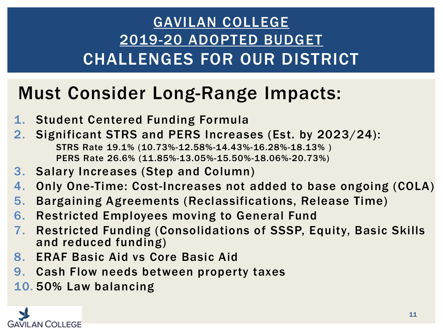## GAVILAN COLLEGE 2019-20 ADOPTED BUDGET CHALLENGES FOR OUR DISTRICT

## Must Consider Long-Range Impacts:

- 1. Student Centered Funding Formula
- 2. Significant STRS and PERS Increases (Est. by 2023/24): STRS Rate 19.1% (10.73%-12.58%-14.43%-16.28%-18.13% ) PERS Rate 26.6% (11.85%-13.05%-15.50%-18.06%-20.73%)
- 3. Salary Increases (Step and Column)
- 4. Only One-Time: Cost-Increases not added to base ongoing (COLA)
- 5. Bargaining Agreements (Reclassifications, Release Time)
- 6. Restricted Employees moving to General Fund
- 7. Restricted Funding (Consolidations of SSSP, Equity, Basic Skills and reduced funding)
- 8. ERAF Basic Aid vs Core Basic Aid
- 9. Cash Flow needs between property taxes
- 10. 50% Law balancing

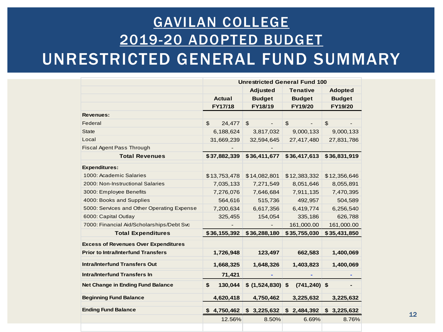#### GAVILAN COLLEGE 2019-20 ADOPTED BUDGET UNRESTRICTED GENERAL FUND SUMMARY

|                                             | <b>Unrestricted General Fund 100</b> |                                                     |                      |                |  |  |  |  |  |
|---------------------------------------------|--------------------------------------|-----------------------------------------------------|----------------------|----------------|--|--|--|--|--|
|                                             |                                      | Adjusted                                            | <b>Tenative</b>      | <b>Adopted</b> |  |  |  |  |  |
|                                             | <b>Actual</b>                        | <b>Budget</b>                                       | <b>Budget</b>        | <b>Budget</b>  |  |  |  |  |  |
|                                             | <b>FY17/18</b>                       | FY18/19                                             | FY19/20              | FY19/20        |  |  |  |  |  |
| <b>Revenues:</b>                            |                                      |                                                     |                      |                |  |  |  |  |  |
| Federal                                     | \$<br>24,477                         | \$<br>$\overline{\phantom{0}}$                      | \$<br>$\overline{a}$ | \$             |  |  |  |  |  |
| <b>State</b>                                | 6,188,624                            | 3,817,032                                           | 9,000,133            | 9,000,133      |  |  |  |  |  |
| Local                                       | 31,669,239                           | 32,594,645                                          | 27,417,480           | 27,831,786     |  |  |  |  |  |
| Fiscal Agent Pass Through                   |                                      |                                                     |                      |                |  |  |  |  |  |
| <b>Total Revenues</b>                       | \$37,882,339                         | \$36,411,677                                        | \$36,417,613         | \$36,831,919   |  |  |  |  |  |
| <b>Expenditures:</b>                        |                                      |                                                     |                      |                |  |  |  |  |  |
| 1000: Academic Salaries                     | \$13,753,478                         | \$14,082,801                                        | \$12,383,332         | \$12,356,646   |  |  |  |  |  |
| 2000: Non-Instructional Salaries            | 7,035,133                            | 7,271,549                                           | 8,051,646            | 8,055,891      |  |  |  |  |  |
| 3000: Employee Benefits                     | 7,276,076                            | 7,646,684                                           | 7,911,135            | 7,470,395      |  |  |  |  |  |
| 4000: Books and Supplies                    | 564,616                              | 515,736                                             | 492,957              | 504,589        |  |  |  |  |  |
| 5000: Services and Other Operating Expense  | 7,200,634                            | 6,617,356                                           | 6,419,774            | 6,256,540      |  |  |  |  |  |
| 6000: Capital Outlay                        | 325,455                              | 154,054                                             | 335,186              | 626,788        |  |  |  |  |  |
| 7000: Financial Aid/Scholarships/Debt Svc   |                                      |                                                     | 161,000.00           | 161,000.00     |  |  |  |  |  |
| <b>Total Expenditures</b>                   | \$36,155,392                         | \$36,288,180                                        | \$35,755,030         | \$35,431,850   |  |  |  |  |  |
| <b>Excess of Revenues Over Expenditures</b> |                                      |                                                     |                      |                |  |  |  |  |  |
| <b>Prior to Intra/Interfund Transfers</b>   | 1,726,948                            | 123,497                                             | 662,583              | 1,400,069      |  |  |  |  |  |
| <b>Intra/Interfund Transfers Out</b>        | 1,668,325                            | 1,648,326                                           | 1,403,823            | 1,400,069      |  |  |  |  |  |
| <b>Intra/Interfund Transfers In</b>         | 71,421                               |                                                     |                      |                |  |  |  |  |  |
| Net Change in Ending Fund Balance           | \$<br>130,044                        | \$ (1,524,830) \$                                   | $(741, 240)$ \$      |                |  |  |  |  |  |
| <b>Beginning Fund Balance</b>               | 4,620,418                            | 4,750,462                                           | 3,225,632            | 3,225,632      |  |  |  |  |  |
| <b>Ending Fund Balance</b>                  |                                      | $$4,750,462$ $$3,225,632$ $$2,484,392$ $$3,225,632$ |                      |                |  |  |  |  |  |
|                                             | 12.56%                               | 8.50%                                               | 6.69%                | 8.76%          |  |  |  |  |  |
|                                             |                                      |                                                     |                      |                |  |  |  |  |  |

12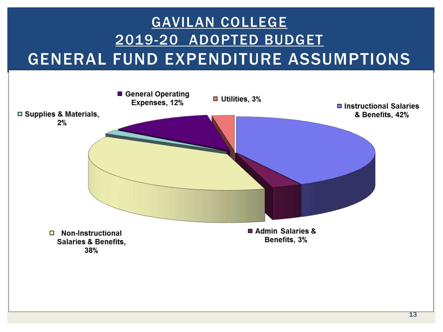## GAVILAN COLLEGE 2019-20 ADOPTED BUDGET GENERAL FUND EXPENDITURE ASSUMPTIONS

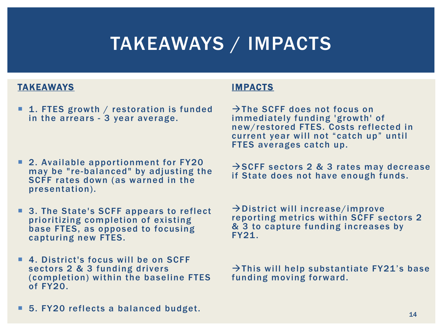## TAKEAWAYS / IMPACTS

#### TAKEAWAYS

■ 1. FTES growth / restoration is funded in the arrears - 3 year average.

- 2. Available apportionment for FY20 may be "re-balanced" by adjusting the SCFF rates down (as warned in the presentation).
- 3. The State's SCFF appears to reflect prioritizing completion of existing base FTES, as opposed to focusing capturing new FTES.
- 4. District's focus will be on SCFF sectors 2 & 3 funding drivers (completion) within the baseline FTES  $of FY20$

#### IMPACTS

 $\rightarrow$ The SCFF does not focus on immediately funding 'growth' of new/restored FTES. Costs reflected in current year will not "catch up" until FTES averages catch up.

 $\rightarrow$  SCFF sectors 2 & 3 rates may decrease if State does not have enough funds.

 $\rightarrow$  District will increase/improve reporting metrics within SCFF sectors 2 & 3 to capture funding increases by FY21.

 $\rightarrow$ This will help substantiate FY21's base funding moving forward.

■ 5. FY20 reflects a balanced budget.